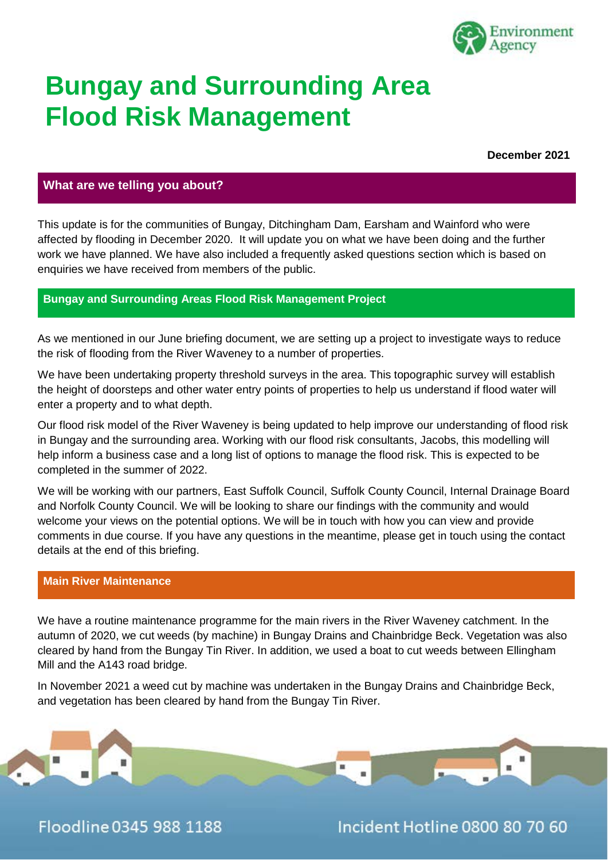

## **Bungay and Surrounding Area Flood Risk Management**

**December 2021**

#### **What are we telling you about?**

This update is for the communities of Bungay, Ditchingham Dam, Earsham and Wainford who were affected by flooding in December 2020. It will update you on what we have been doing and the further work we have planned. We have also included a frequently asked questions section which is based on enquiries we have received from members of the public.

#### **Bungay and Surrounding Areas Flood Risk Management Project**

As we mentioned in our June briefing document, we are setting up a project to investigate ways to reduce the risk of flooding from the River Waveney to a number of properties.

We have been undertaking property threshold surveys in the area. This topographic survey will establish the height of doorsteps and other water entry points of properties to help us understand if flood water will enter a property and to what depth.

Our flood risk model of the River Waveney is being updated to help improve our understanding of flood risk in Bungay and the surrounding area. Working with our flood risk consultants, Jacobs, this modelling will help inform a business case and a long list of options to manage the flood risk. This is expected to be completed in the summer of 2022.

We will be working with our partners, East Suffolk Council, Suffolk County Council, Internal Drainage Board and Norfolk County Council. We will be looking to share our findings with the community and would welcome your views on the potential options. We will be in touch with how you can view and provide comments in due course. If you have any questions in the meantime, please get in touch using the contact details at the end of this briefing.

#### **Main River Maintenance**

We have a routine maintenance programme for the main rivers in the River Waveney catchment. In the autumn of 2020, we cut weeds (by machine) in Bungay Drains and Chainbridge Beck. Vegetation was also cleared by hand from the Bungay Tin River. In addition, we used a boat to cut weeds between Ellingham Mill and the A143 road bridge.

In November 2021 a weed cut by machine was undertaken in the Bungay Drains and Chainbridge Beck, and vegetation has been cleared by hand from the Bungay Tin River.



Floodline 0345 988 1188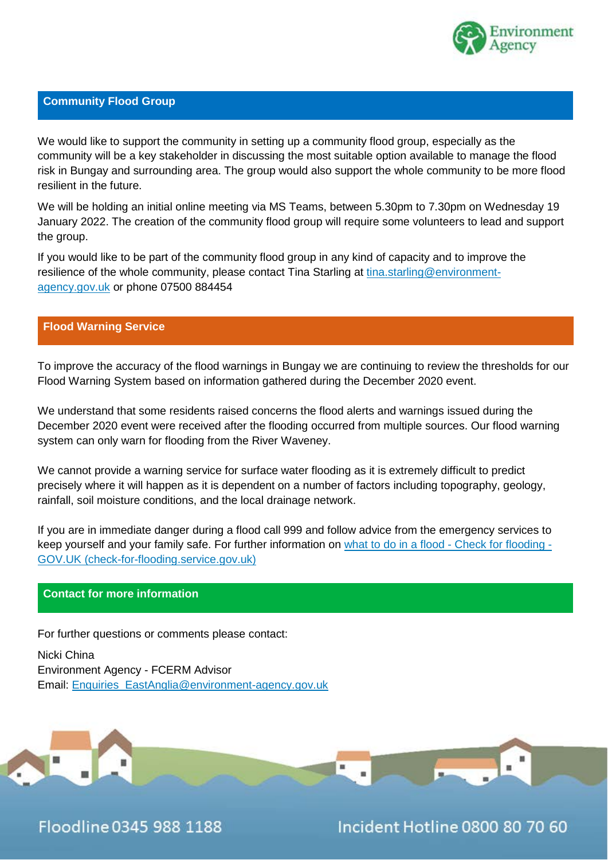

#### **Community Flood Group**

We would like to support the community in setting up a community flood group, especially as the community will be a key stakeholder in discussing the most suitable option available to manage the flood risk in Bungay and surrounding area. The group would also support the whole community to be more flood resilient in the future.

We will be holding an initial online meeting via MS Teams, between 5.30pm to 7.30pm on Wednesday 19 January 2022. The creation of the community flood group will require some volunteers to lead and support the group.

If you would like to be part of the community flood group in any kind of capacity and to improve the resilience of the whole community, please contact Tina Starling at [tina.starling@environment](mailto:tina.starling@environment-agency.gov.uk)[agency.gov.uk](mailto:tina.starling@environment-agency.gov.uk) or phone 07500 884454

#### **Flood Warning Service**

To improve the accuracy of the flood warnings in Bungay we are continuing to review the thresholds for our Flood Warning System based on information gathered during the December 2020 event.

We understand that some residents raised concerns the flood alerts and warnings issued during the December 2020 event were received after the flooding occurred from multiple sources. Our flood warning system can only warn for flooding from the River Waveney.

We cannot provide a warning service for surface water flooding as it is extremely difficult to predict precisely where it will happen as it is dependent on a number of factors including topography, geology, rainfall, soil moisture conditions, and the local drainage network.

If you are in immediate danger during a flood call 999 and follow advice from the emergency services to keep yourself and your family safe. For further information on [what to do in a flood -](https://check-for-flooding.service.gov.uk/what-to-do-in-a-flood) Check for flooding - [GOV.UK \(check-for-flooding.service.gov.uk\)](https://check-for-flooding.service.gov.uk/what-to-do-in-a-flood)

#### **Contact for more information**

For further questions or comments please contact:

Nicki China Environment Agency - FCERM Advisor Email: [Enquiries\\_EastAnglia@environment-agency.gov.uk](mailto:Enquiries_EastAnglia@environment-agency.gov.uk)



Floodline 0345 988 1188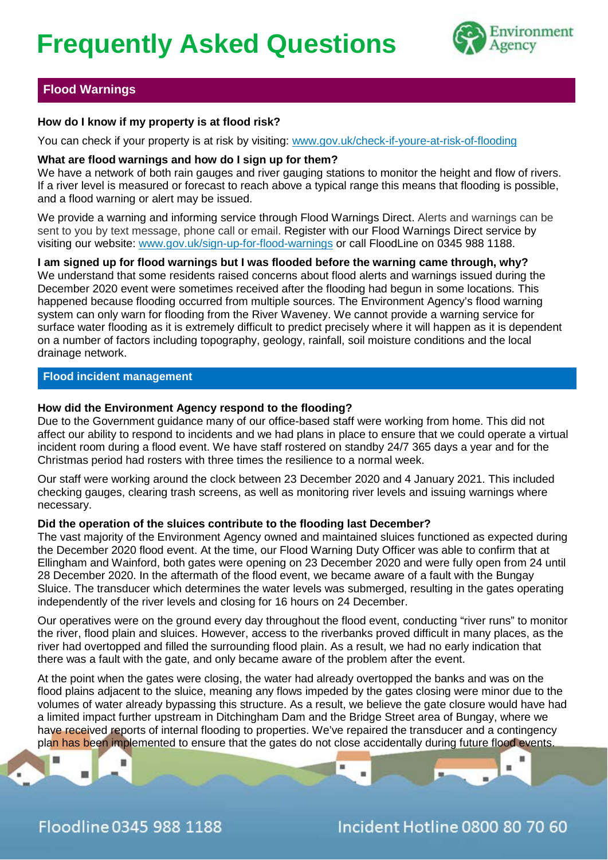# **Frequently Asked Questions**



#### **Flood Warnings**

#### **How do I know if my property is at flood risk?**

You can check if your property is at risk by visiting: [www.gov.uk/check-if-youre-at-risk-of-flooding](http://www.gov.uk/check-if-youre-at-risk-of-flooding)

#### **What are flood warnings and how do I sign up for them?**

We have a network of both rain gauges and river gauging stations to monitor the height and flow of rivers. If a river level is measured or forecast to reach above a typical range this means that flooding is possible, and a flood warning or alert may be issued.

We provide a warning and informing service through Flood Warnings Direct. Alerts and warnings can be sent to you by text message, phone call or email. Register with our Flood Warnings Direct service by visiting our website: [www.gov.uk/sign-up-for-flood-warnings](http://www.gov.uk/sign-up-for-flood-warnings) or call FloodLine on 0345 988 1188.

#### **I am signed up for flood warnings but I was flooded before the warning came through, why?**

We understand that some residents raised concerns about flood alerts and warnings issued during the December 2020 event were sometimes received after the flooding had begun in some locations. This happened because flooding occurred from multiple sources. The Environment Agency's flood warning system can only warn for flooding from the River Waveney. We cannot provide a warning service for surface water flooding as it is extremely difficult to predict precisely where it will happen as it is dependent on a number of factors including topography, geology, rainfall, soil moisture conditions and the local drainage network.

#### **Flood incident management**

#### **How did the Environment Agency respond to the flooding?**

Due to the Government guidance many of our office-based staff were working from home. This did not affect our ability to respond to incidents and we had plans in place to ensure that we could operate a virtual incident room during a flood event. We have staff rostered on standby 24/7 365 days a year and for the Christmas period had rosters with three times the resilience to a normal week.

Our staff were working around the clock between 23 December 2020 and 4 January 2021. This included checking gauges, clearing trash screens, as well as monitoring river levels and issuing warnings where necessary.

#### **Did the operation of the sluices contribute to the flooding last December?**

The vast majority of the Environment Agency owned and maintained sluices functioned as expected during the December 2020 flood event. At the time, our Flood Warning Duty Officer was able to confirm that at Ellingham and Wainford, both gates were opening on 23 December 2020 and were fully open from 24 until 28 December 2020. In the aftermath of the flood event, we became aware of a fault with the Bungay Sluice. The transducer which determines the water levels was submerged, resulting in the gates operating independently of the river levels and closing for 16 hours on 24 December.

Our operatives were on the ground every day throughout the flood event, conducting "river runs" to monitor the river, flood plain and sluices. However, access to the riverbanks proved difficult in many places, as the river had overtopped and filled the surrounding flood plain. As a result, we had no early indication that there was a fault with the gate, and only became aware of the problem after the event.

At the point when the gates were closing, the water had already overtopped the banks and was on the flood plains adjacent to the sluice, meaning any flows impeded by the gates closing were minor due to the volumes of water already bypassing this structure. As a result, we believe the gate closure would have had a limited impact further upstream in Ditchingham Dam and the Bridge Street area of Bungay, where we have received reports of internal flooding to properties. We've repaired the transducer and a contingency plan has been implemented to ensure that the gates do not close accidentally during future flood events.

н

關



m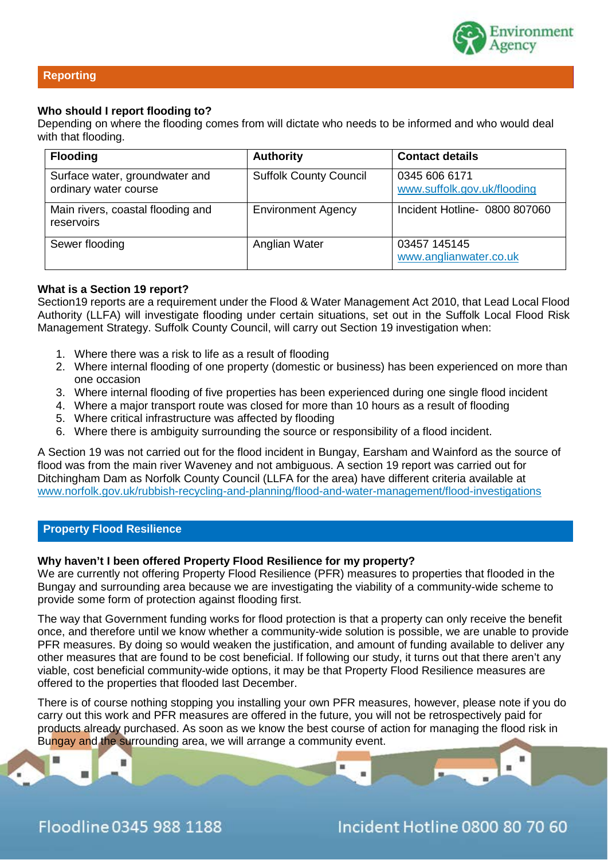

#### **Reporting**

#### **Who should I report flooding to?**

Depending on where the flooding comes from will dictate who needs to be informed and who would deal with that flooding.

| <b>Flooding</b>                                         | <b>Authority</b>              | <b>Contact details</b>                       |
|---------------------------------------------------------|-------------------------------|----------------------------------------------|
| Surface water, groundwater and<br>ordinary water course | <b>Suffolk County Council</b> | 0345 606 6171<br>www.suffolk.gov.uk/flooding |
| Main rivers, coastal flooding and<br>reservoirs         | <b>Environment Agency</b>     | Incident Hotline- 0800 807060                |
| Sewer flooding                                          | Anglian Water                 | 03457 145145<br>www.anglianwater.co.uk       |

#### **What is a Section 19 report?**

Section19 reports are a requirement under the Flood & Water Management Act 2010, that Lead Local Flood Authority (LLFA) will investigate flooding under certain situations, set out in the Suffolk Local Flood Risk Management Strategy. Suffolk County Council, will carry out Section 19 investigation when:

- 1. Where there was a risk to life as a result of flooding
- 2. Where internal flooding of one property (domestic or business) has been experienced on more than one occasion
- 3. Where internal flooding of five properties has been experienced during one single flood incident
- 4. Where a major transport route was closed for more than 10 hours as a result of flooding
- 5. Where critical infrastructure was affected by flooding
- 6. Where there is ambiguity surrounding the source or responsibility of a flood incident.

A Section 19 was not carried out for the flood incident in Bungay, Earsham and Wainford as the source of flood was from the main river Waveney and not ambiguous. A section 19 report was carried out for Ditchingham Dam as Norfolk County Council (LLFA for the area) have different criteria available at [www.norfolk.gov.uk/rubbish-recycling-and-planning/flood-and-water-management/flood-investigations](http://www.norfolk.gov.uk/rubbish-recycling-and-planning/flood-and-water-management/flood-investigations)

#### **Property Flood Resilience**

#### **Why haven't I been offered Property Flood Resilience for my property?**

We are currently not offering Property Flood Resilience (PFR) measures to properties that flooded in the Bungay and surrounding area because we are investigating the viability of a community-wide scheme to provide some form of protection against flooding first.

The way that Government funding works for flood protection is that a property can only receive the benefit once, and therefore until we know whether a community-wide solution is possible, we are unable to provide PFR measures. By doing so would weaken the justification, and amount of funding available to deliver any other measures that are found to be cost beneficial. If following our study, it turns out that there aren't any viable, cost beneficial community-wide options, it may be that Property Flood Resilience measures are offered to the properties that flooded last December.

There is of course nothing stopping you installing your own PFR measures, however, please note if you do carry out this work and PFR measures are offered in the future, you will not be retrospectively paid for products already purchased. As soon as we know the best course of action for managing the flood risk in Bungay and the surrounding area, we will arrange a community event.



關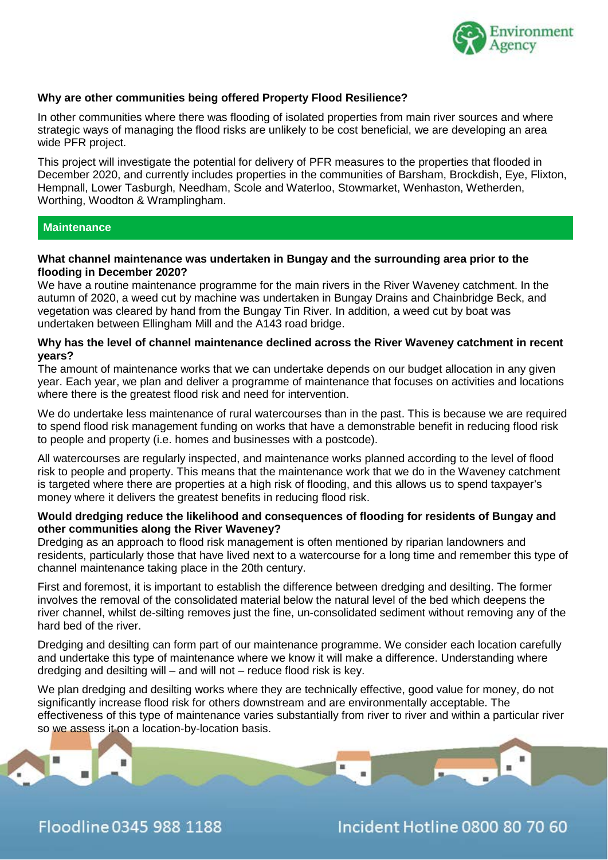

#### **Why are other communities being offered Property Flood Resilience?**

In other communities where there was flooding of isolated properties from main river sources and where strategic ways of managing the flood risks are unlikely to be cost beneficial, we are developing an area wide PFR project.

This project will investigate the potential for delivery of PFR measures to the properties that flooded in December 2020, and currently includes properties in the communities of Barsham, Brockdish, Eye, Flixton, Hempnall, Lower Tasburgh, Needham, Scole and Waterloo, Stowmarket, Wenhaston, Wetherden, Worthing, Woodton & Wramplingham.

#### **Maintenance**

#### **What channel maintenance was undertaken in Bungay and the surrounding area prior to the flooding in December 2020?**

We have a routine maintenance programme for the main rivers in the River Waveney catchment. In the autumn of 2020, a weed cut by machine was undertaken in Bungay Drains and Chainbridge Beck, and vegetation was cleared by hand from the Bungay Tin River. In addition, a weed cut by boat was undertaken between Ellingham Mill and the A143 road bridge.

#### **Why has the level of channel maintenance declined across the River Waveney catchment in recent years?**

The amount of maintenance works that we can undertake depends on our budget allocation in any given year. Each year, we plan and deliver a programme of maintenance that focuses on activities and locations where there is the greatest flood risk and need for intervention.

We do undertake less maintenance of rural watercourses than in the past. This is because we are required to spend flood risk management funding on works that have a demonstrable benefit in reducing flood risk to people and property (i.e. homes and businesses with a postcode).

All watercourses are regularly inspected, and maintenance works planned according to the level of flood risk to people and property. This means that the maintenance work that we do in the Waveney catchment is targeted where there are properties at a high risk of flooding, and this allows us to spend taxpayer's money where it delivers the greatest benefits in reducing flood risk.

#### **Would dredging reduce the likelihood and consequences of flooding for residents of Bungay and other communities along the River Waveney?**

Dredging as an approach to flood risk management is often mentioned by riparian landowners and residents, particularly those that have lived next to a watercourse for a long time and remember this type of channel maintenance taking place in the 20th century.

First and foremost, it is important to establish the difference between dredging and desilting. The former involves the removal of the consolidated material below the natural level of the bed which deepens the river channel, whilst de-silting removes just the fine, un-consolidated sediment without removing any of the hard bed of the river.

Dredging and desilting can form part of our maintenance programme. We consider each location carefully and undertake this type of maintenance where we know it will make a difference. Understanding where dredging and desilting will – and will not – reduce flood risk is key.

We plan dredging and desilting works where they are technically effective, good value for money, do not significantly increase flood risk for others downstream and are environmentally acceptable. The effectiveness of this type of maintenance varies substantially from river to river and within a particular river so we assess it on a location-by-location basis.

Floodline 0345 988 1188